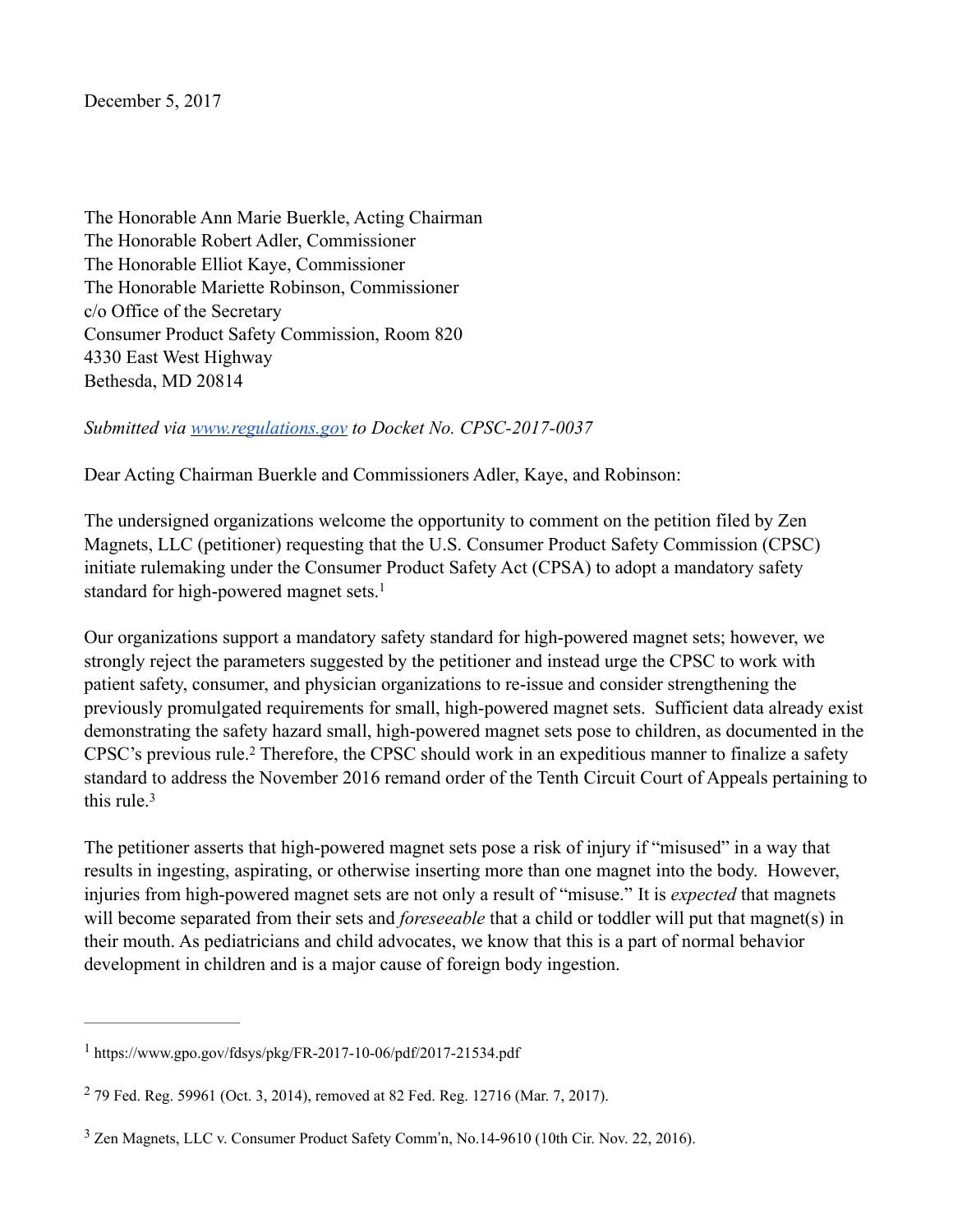December 5, 2017

The Honorable Ann Marie Buerkle, Acting Chairman The Honorable Robert Adler, Commissioner The Honorable Elliot Kaye, Commissioner The Honorable Mariette Robinson, Commissioner c/o Office of the Secretary Consumer Product Safety Commission, Room 820 4330 East West Highway Bethesda, MD 20814

*Submitted via www.regulations.gov to Docket No. CPSC-2017-0037*

Dear Acting Chairman Buerkle and Commissioners Adler, Kaye, and Robinson:

The undersigned organizations welcome the opportunity to comment on the petition filed by Zen Magnets, LLC (petitioner) requesting that the U.S. Consumer Product Safety Commission (CPSC) initiate rulemaking under the Consumer Product Safety Act (CPSA) to adopt a mandatory safety standard for high-powered magnet sets.<sup>1</sup>

Our organizations support a mandatory safety standard for high-powered magnet sets; however, we strongly reject the parameters suggested by the petitioner and instead urge the CPSC to work with patient safety, consumer, and physician organizations to re-issue and consider strengthening the previously promulgated requirements for small, high-powered magnet sets. Sufficient data already exist demonstrating the safety hazard small, high-powered magnet sets pose to children, as documented in the CPSC's previous rule.<sup>2</sup> Therefore, the CPSC should work in an expeditious manner to finalize a safety standard to address the November 2016 remand order of the Tenth Circuit Court of Appeals pertaining to this rule  $3$ 

The petitioner asserts that high-powered magnet sets pose a risk of injury if "misused" in a way that results in ingesting, aspirating, or otherwise inserting more than one magnet into the body. However, injuries from high-powered magnet sets are not only a result of "misuse." It is *expected* that magnets will become separated from their sets and *foreseeable* that a child or toddler will put that magnet(s) in their mouth. As pediatricians and child advocates, we know that this is a part of normal behavior development in children and is a major cause of foreign body ingestion.

https://www.gpo.gov/fdsys/pkg/FR-2017-10-06/pdf/2017-21534.pdf <sup>1</sup>

<sup>&</sup>lt;sup>2</sup> 79 Fed. Reg. 59961 (Oct. 3, 2014), removed at 82 Fed. Reg. 12716 (Mar. 7, 2017).

 $3$  Zen Magnets, LLC v. Consumer Product Safety Comm'n, No.14-9610 (10th Cir. Nov. 22, 2016).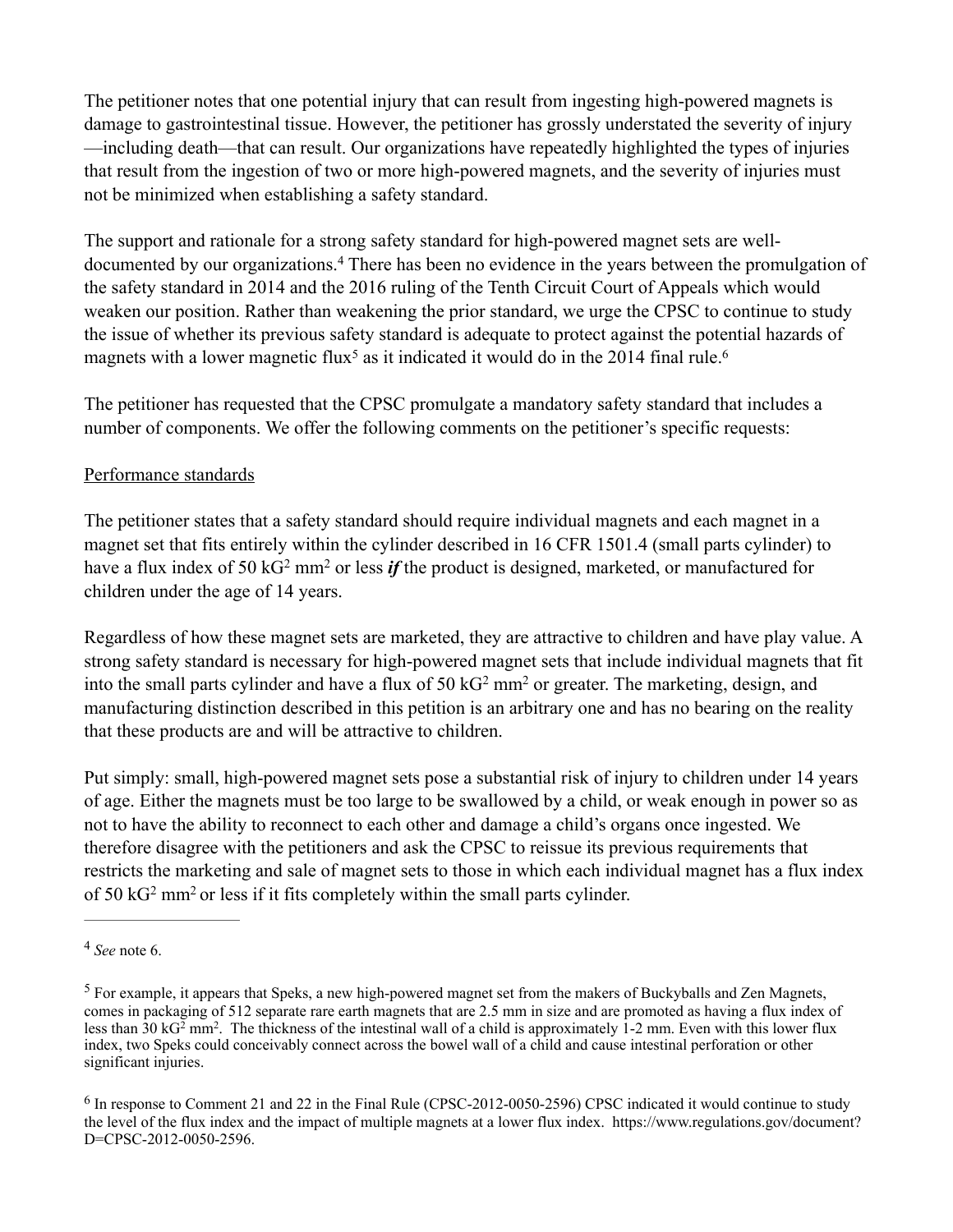The petitioner notes that one potential injury that can result from ingesting high-powered magnets is damage to gastrointestinal tissue. However, the petitioner has grossly understated the severity of injury —including death—that can result. Our organizations have repeatedly highlighted the types of injuries that result from the ingestion of two or more high-powered magnets, and the severity of injuries must not be minimized when establishing a safety standard.

The support and rationale for a strong safety standard for high-powered magnet sets are welldocumented by our organizations.<sup>4</sup> There has been no evidence in the years between the promulgation of the safety standard in 2014 and the 2016 ruling of the Tenth Circuit Court of Appeals which would weaken our position. Rather than weakening the prior standard, we urge the CPSC to continue to study the issue of whether its previous safety standard is adequate to protect against the potential hazards of magnets with a lower magnetic flux<sup>5</sup> as it indicated it would do in the 2014 final rule.<sup>6</sup>

The petitioner has requested that the CPSC promulgate a mandatory safety standard that includes a number of components. We offer the following comments on the petitioner's specific requests:

## Performance standards

The petitioner states that a safety standard should require individual magnets and each magnet in a magnet set that fits entirely within the cylinder described in 16 CFR 1501.4 (small parts cylinder) to have a flux index of 50 kG<sup>2</sup> mm<sup>2</sup> or less *if* the product is designed, marketed, or manufactured for children under the age of 14 years.

Regardless of how these magnet sets are marketed, they are attractive to children and have play value. A strong safety standard is necessary for high-powered magnet sets that include individual magnets that fit into the small parts cylinder and have a flux of  $50 \text{ kG}^2 \text{ mm}^2$  or greater. The marketing, design, and manufacturing distinction described in this petition is an arbitrary one and has no bearing on the reality that these products are and will be attractive to children.

Put simply: small, high-powered magnet sets pose a substantial risk of injury to children under 14 years of age. Either the magnets must be too large to be swallowed by a child, or weak enough in power so as not to have the ability to reconnect to each other and damage a child's organs once ingested. We therefore disagree with the petitioners and ask the CPSC to reissue its previous requirements that restricts the marketing and sale of magnet sets to those in which each individual magnet has a flux index of 50 kG2 mm2 or less if it fits completely within the small parts cylinder.

*See* note 6. <sup>4</sup>

<sup>&</sup>lt;sup>5</sup> For example, it appears that Speks, a new high-powered magnet set from the makers of Buckyballs and Zen Magnets, comes in packaging of 512 separate rare earth magnets that are 2.5 mm in size and are promoted as having a flux index of less than  $30 \text{ kG}^2$  mm<sup>2</sup>. The thickness of the intestinal wall of a child is approximately 1-2 mm. Even with this lower flux index, two Speks could conceivably connect across the bowel wall of a child and cause intestinal perforation or other significant injuries.

 $6$  In response to Comment 21 and 22 in the Final Rule (CPSC-2012-0050-2596) CPSC indicated it would continue to study the level of the flux index and the impact of multiple magnets at a lower flux index. https://www.regulations.gov/document? D=CPSC-2012-0050-2596.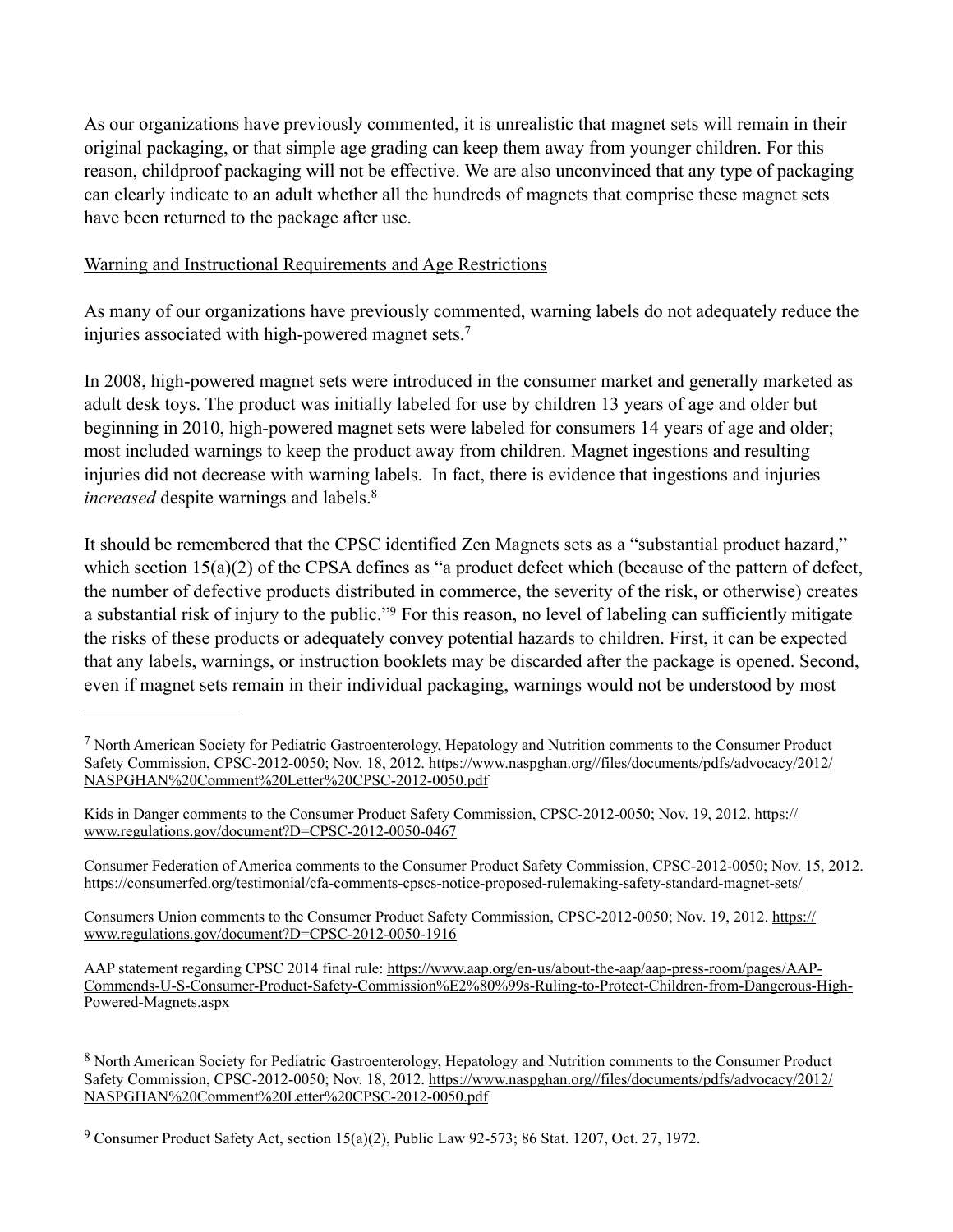As our organizations have previously commented, it is unrealistic that magnet sets will remain in their original packaging, or that simple age grading can keep them away from younger children. For this reason, childproof packaging will not be effective. We are also unconvinced that any type of packaging can clearly indicate to an adult whether all the hundreds of magnets that comprise these magnet sets have been returned to the package after use.

## Warning and Instructional Requirements and Age Restrictions

As many of our organizations have previously commented, warning labels do not adequately reduce the injuries associated with high-powered magnet sets.<sup>7</sup>

In 2008, high-powered magnet sets were introduced in the consumer market and generally marketed as adult desk toys. The product was initially labeled for use by children 13 years of age and older but beginning in 2010, high-powered magnet sets were labeled for consumers 14 years of age and older; most included warnings to keep the product away from children. Magnet ingestions and resulting injuries did not decrease with warning labels. In fact, there is evidence that ingestions and injuries *increased* despite warnings and labels.<sup>8</sup>

It should be remembered that the CPSC identified Zen Magnets sets as a "substantial product hazard," which section  $15(a)(2)$  of the CPSA defines as "a product defect which (because of the pattern of defect, the number of defective products distributed in commerce, the severity of the risk, or otherwise) creates a substantial risk of injury to the public."<sup>9</sup> For this reason, no level of labeling can sufficiently mitigate the risks of these products or adequately convey potential hazards to children. First, it can be expected that any labels, warnings, or instruction booklets may be discarded after the package is opened. Second, even if magnet sets remain in their individual packaging, warnings would not be understood by most

<sup>&</sup>lt;sup>7</sup> North American Society for Pediatric Gastroenterology, Hepatology and Nutrition comments to the Consumer Product Safety Commission, CPSC-2012-0050; Nov. 18, 2012. https://www.naspghan.org//files/documents/pdfs/advocacy/2012/ NASPGHAN%20Comment%20Letter%20CPSC-2012-0050.pdf

Kids in Danger comments to the Consumer Product Safety Commission, CPSC-2012-0050; Nov. 19, 2012. https:// www.regulations.gov/document?D=CPSC-2012-0050-0467

Consumer Federation of America comments to the Consumer Product Safety Commission, CPSC-2012-0050; Nov. 15, 2012. https://consumerfed.org/testimonial/cfa-comments-cpscs-notice-proposed-rulemaking-safety-standard-magnet-sets/

Consumers Union comments to the Consumer Product Safety Commission, CPSC-2012-0050; Nov. 19, 2012. https:// www.regulations.gov/document?D=CPSC-2012-0050-1916

AAP statement regarding CPSC 2014 final rule: https://www.aap.org/en-us/about-the-aap/aap-press-room/pages/AAP-Commends-U-S-Consumer-Product-Safety-Commission%E2%80%99s-Ruling-to-Protect-Children-from-Dangerous-High-Powered-Magnets.aspx

<sup>&</sup>lt;sup>8</sup> North American Society for Pediatric Gastroenterology, Hepatology and Nutrition comments to the Consumer Product Safety Commission, CPSC-2012-0050; Nov. 18, 2012. https://www.naspghan.org//files/documents/pdfs/advocacy/2012/ NASPGHAN%20Comment%20Letter%20CPSC-2012-0050.pdf

<sup>&</sup>lt;sup>9</sup> Consumer Product Safety Act, section  $15(a)(2)$ , Public Law 92-573; 86 Stat. 1207, Oct. 27, 1972.